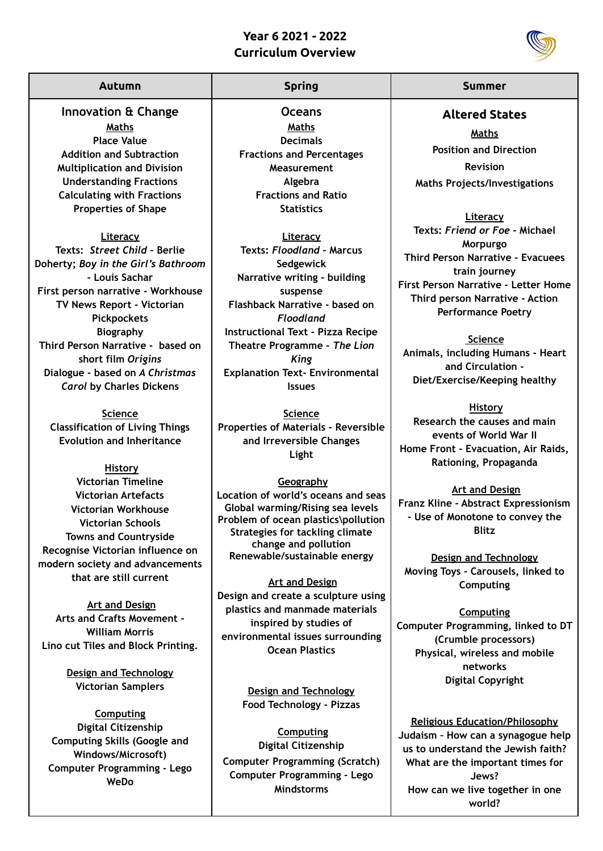## **Year 6 2021 - 2022 Curriculum Overview**



**Innovation & Change Maths Place Value Addition and Subtraction Multiplication and Division Understanding Fractions Calculating with Fractions Properties of Shape**

**Literacy Texts:** *Street Child* **– Berlie Doherty;** *Boy in the Girl's Bathroom* **- Louis Sachar First person narrative - Workhouse TV News Report - Victorian Pickpockets Biography Third Person Narrative - based on short film** *Origins* **Dialogue - based on** *A Christmas Carol* **by Charles Dickens**

**Science Classification of Living Things Evolution and Inheritance**

**History Victorian Timeline Victorian Artefacts Victorian Workhouse Victorian Schools Towns and Countryside Recognise Victorian influence on modern society and advancements that are still current**

**Art and Design Arts and Crafts Movement - William Morris Lino cut Tiles and Block Printing.**

> **Design and Technology Victorian Samplers**

**Computing Digital Citizenship Computing Skills (Google and Windows/Microsoft) Computer Programming - Lego WeDo**

**Oceans Maths Decimals Fractions and Percentages Measurement Algebra Fractions and Ratio Statistics**

**Literacy Texts:** *Floodland* **- Marcus Sedgewick Narrative writing - building suspense Flashback Narrative - based on** *Floodland* **Instructional Text - Pizza Recipe Theatre Programme -** *The Lion King* **Explanation Text- Environmental Issues**

**Science Properties of Materials - Reversible and Irreversible Changes Light**

**Geography Location of world's oceans and seas Global warming/Rising sea levels Problem of ocean plastics\pollution Strategies for tackling climate change and pollution Renewable/sustainable energy**

**Art and Design Design and create a sculpture using plastics and manmade materials inspired by studies of environmental issues surrounding Ocean Plastics**

> **Design and Technology Food Technology - Pizzas**

**Computing Digital Citizenship Computer Programming (Scratch) Computer Programming - Lego Mindstorms**

## **Autumn Spring Summer**

**Altered States**

**Maths Position and Direction Revision Maths Projects/Investigations**

**Literacy Texts:** *Friend or Foe* **- Michael Morpurgo Third Person Narrative - Evacuees train journey First Person Narrative - Letter Home Third person Narrative - Action Performance Poetry**

**Science Animals, including Humans - Heart and Circulation - Diet/Exercise/Keeping healthy**

**History Research the causes and main events of World War II Home Front - Evacuation, Air Raids, Rationing, Propaganda**

**Art and Design Franz Kline - Abstract Expressionism - Use of Monotone to convey the Blitz**

**Design and Technology Moving Toys - Carousels, linked to Computing**

**Computing Computer Programming, linked to DT (Crumble processors) Physical, wireless and mobile networks Digital Copyright**

**Religious Education/Philosophy Judaism – How can a synagogue help us to understand the Jewish faith? What are the important times for Jews? How can we live together in one world?**